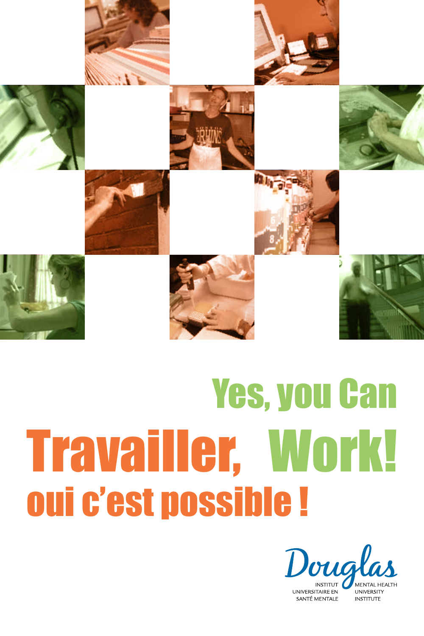

## Travailler, Work!oui c'est possible ! Yes, you Can



**UNIVERSITAIRE EN** SANTÉ MENTALE UNIVERSITY **INSTITUTE**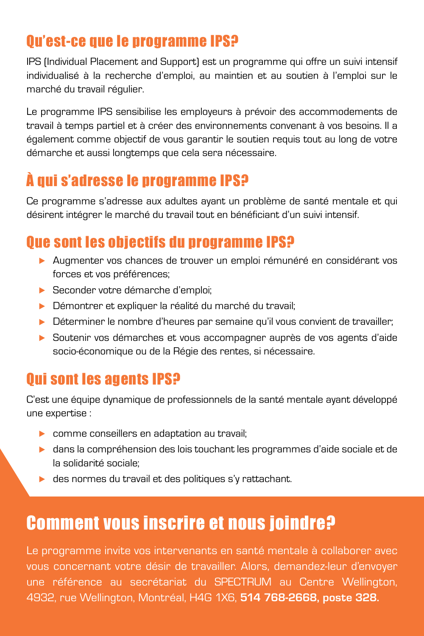#### Qu'est-ce que le programme IPS?

IPS (Individual Placement and Support) est un programme qui offre un suivi intensif individualisé à la recherche d'emploi, au maintien et au soutien à l'emploi sur le marché du travail régulier.

Le programme IPS sensibilise les employeurs à prévoir des accommodements de travail à temps partiel et à créer des environnements convenant à vos besoins. Il a également comme objectif de vous garantir le soutien requis tout au long de votre démarche et aussi longtemps que cela sera nécessaire.

#### À qui s'adresse le programme IPS?

Ce programme s'adresse aux adultes ayant un problème de santé mentale et qui désirent intégrer le marché du travail tout en bénéficiant d'un suivi intensif.

#### Que sont les objectifs du programme IPS?

- Augmenter vos chances de trouver un emploi rémunéré en considérant vos forces et vos préférences;
- Seconder votre démarche d'emploi;
- Démontrer et expliquer la réalité du marché du travail;
- Déterminer le nombre d'heures par semaine qu'il vous convient de travailler;
- Soutenir vos démarches et vous accompagner auprès de vos agents d'aide socio-économique ou de la Régie des rentes, si nécessaire.

#### Qui sont les agents IPS?

C'est une équipe dynamique de professionnels de la santé mentale ayant développé une expertise :

- **Comme conseillers en adaptation au travail;**
- dans la compréhension des lois touchant les programmes d'aide sociale et de la solidarité sociale;
- des normes du travail et des politiques s'y rattachant.

#### Comment vous inscrire et nous joindre?

Le programme invite vos intervenants en santé mentale à collaborer avec vous concernant votre désir de travailler. Alors, demandez-leur d'envoyer une référence au secrétariat du SPECTRUM au Centre Wellington, 4932, rue Wellington, Montréal, H4G 1X6, **514 768-2668, poste 328.**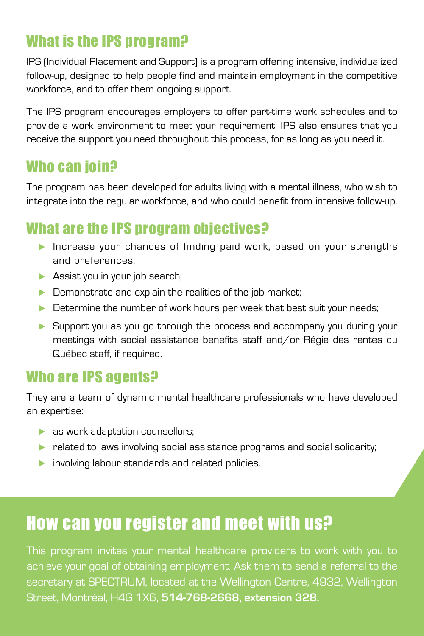#### What is the IPS program?

IPS (Individual Placement and Support) is a program offering intensive, individualized follow-up, designed to help people find and maintain employment in the competitive workforce, and to offer them ongoing support.

The IPS program encourages employers to offer part-time work schedules and to provide a work environment to meet your requirement. IPS also ensures that you receive the support you need throughout this process, for as long as you need it.

#### Who can ioin?

The program has been developed for adults living with a mental illness, who wish to integrate into the regular workforce, and who could benefit from intensive follow-up.

#### What are the IPS program objectives?

- **Increase your chances of finding paid work, based on your strengths** and preferences;
- Assist you in your job search;
- $\blacktriangleright$  Demonstrate and explain the realities of the job market;
- $\triangleright$  Determine the number of work hours per week that best suit your needs;
- $\triangleright$  Support you as you go through the process and accompany you during your meetings with social assistance benefits staff and/or Régie des rentes du Québec staff, if required.

#### Who are IPS agents?

They are a team of dynamic mental healthcare professionals who have developed an expertise:

- **as work adaptation counsellors;**
- $\blacktriangleright$  related to laws involving social assistance programs and social solidarity;
- **D** involving labour standards and related policies.

#### How can you register and meet with us?

This program invites your mental healthcare providers to work with you to achieve your goal of obtaining employment. Ask them to send a referral to the secretary at SPECTRUM, located at the Wellington Centre, 4932, Wellington Street, Montréal, H4G 1X6, **514-768-2668, extension 328.**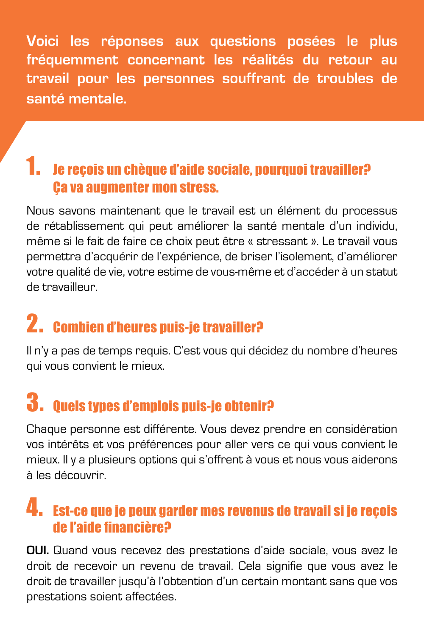**Voici les réponses aux questions posées le plus fréquemment concernant les réalités du retour au travail pour les personnes souffrant de troubles de santé mentale.**

#### 1. Je reçois un chèque d'aide sociale, pourquoi travailler? Ça va augmenter mon stress.

Nous savons maintenant que le travail est un élément du processus de rétablissement qui peut améliorer la santé mentale d'un individu, même si le fait de faire ce choix peut être « stressant ». Le travail vous permettra d'acquérir de l'expérience, de briser l'isolement, d'améliorer votre qualité de vie, votre estime de vous-même et d'accéder à un statut de travailleur.

### 2. Combien d'heures puis-je travailler?

Il n'y a pas de temps requis. C'est vous qui décidez du nombre d'heures qui vous convient le mieux.

#### 3. Quels types d'emplois puis-je obtenir?

Chaque personne est différente. Vous devez prendre en considération vos intérêts et vos préférences pour aller vers ce qui vous convient le mieux. Il y a plusieurs options qui s'offrent à vous et nous vous aiderons à les découvrir.

#### 4. Est-ce que je peux garder mes revenus de travail si je reçois de l'aide financière?

**OUI.** Quand vous recevez des prestations d'aide sociale, vous avez le droit de recevoir un revenu de travail. Cela signifie que vous avez le droit de travailler jusqu'à l'obtention d'un certain montant sans que vos prestations soient affectées.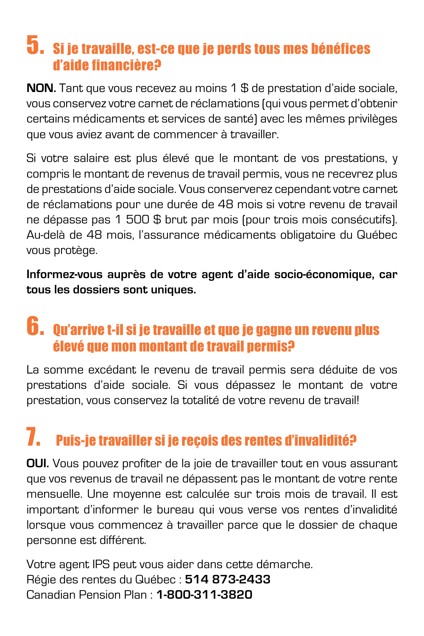#### 5. Si je travaille, est-ce que je perds tous mes bénéfices d'aide financière?

**NON.** Tant que vous recevez au moins 1 \$ de prestation d'aide sociale, vous conservez votre carnet de réclamations (qui vous permet d'obtenir certains médicaments et services de santé) avec les mêmes privilèges que vous aviez avant de commencer à travailler.

Si votre salaire est plus élevé que le montant de vos prestations, y compris le montant de revenus de travail permis, vous ne recevrez plus de prestations d'aide sociale. Vous conserverez cependant votre carnet de réclamations pour une durée de 48 mois si votre revenu de travail ne dépasse pas 1 500 \$ brut par mois (pour trois mois consécutifs). Au-delà de 48 mois, l'assurance médicaments obligatoire du Québec vous protège.

**Informez-vous auprès de votre agent d'aide socio-économique, car tous les dossiers sont uniques.** 

#### 6. Qu'arrive t-il si je travaille et que je gagne un revenu plus élevé que mon montant de travail permis?

La somme excédant le revenu de travail permis sera déduite de vos prestations d'aide sociale. Si vous dépassez le montant de votre prestation, vous conservez la totalité de votre revenu de travail!

#### 7. Puis-je travailler si je reçois des rentes d'invalidité?

**OUI.** Vous pouvez profiter de la joie de travailler tout en vous assurant que vos revenus de travail ne dépassent pas le montant de votre rente mensuelle. Une moyenne est calculée sur trois mois de travail. Il est important d'informer le bureau qui vous verse vos rentes d'invalidité lorsque vous commencez à travailler parce que le dossier de chaque personne est différent.

Votre agent IPS peut vous aider dans cette démarche. Régie des rentes du Québec : **514 873-2433**  Canadian Pension Plan : **1-800-311-3820**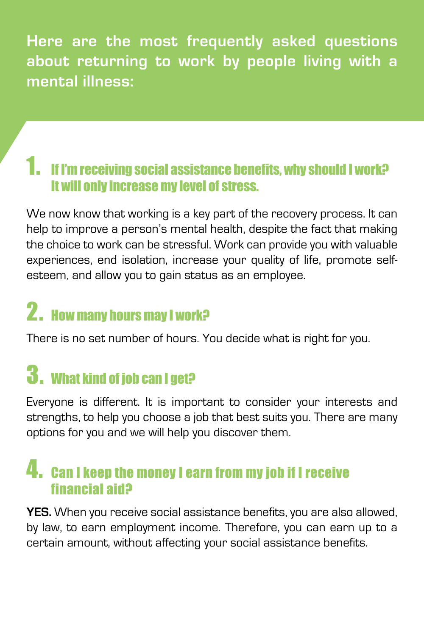**Here are the most frequently asked questions about returning to work by people living with a mental illness:**

#### **1.** If I'm receiving social assistance benefits, why should I work? It will only increase my level of stress.

We now know that working is a key part of the recovery process. It can help to improve a person's mental health, despite the fact that making the choice to work can be stressful. Work can provide you with valuable experiences, end isolation, increase your quality of life, promote selfesteem, and allow you to gain status as an employee.

#### 2. How many hours may I work?

There is no set number of hours. You decide what is right for you.

#### 3. What kind of job can I get?

Everyone is different. It is important to consider your interests and strengths, to help you choose a job that best suits you. There are many options for you and we will help you discover them.

#### **4.** Can I keep the money I earn from my job if I receive financial aid?

**YES.** When you receive social assistance benefits, you are also allowed, by law, to earn employment income. Therefore, you can earn up to a certain amount, without affecting your social assistance benefits.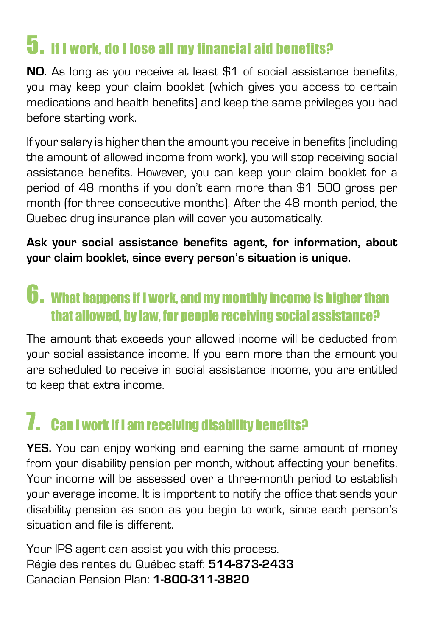### ${\bf 5}.$  If I work, do I lose all my financial aid benefits?

**NO.** As long as you receive at least \$1 of social assistance benefits, you may keep your claim booklet (which gives you access to certain medications and health benefits) and keep the same privileges you had before starting work.

If your salary is higher than the amount you receive in benefits (including the amount of allowed income from work), you will stop receiving social assistance benefits. However, you can keep your claim booklet for a period of 48 months if you don't earn more than \$1 500 gross per month (for three consecutive months). After the 48 month period, the Quebec drug insurance plan will cover you automatically.

#### **Ask your social assistance benefits agent, for information, about your claim booklet, since every person's situation is unique.**

#### $\boldsymbol{6}$ . What happens if I work, and my monthly income is higher than that allowed, by law, for people receiving social assistance?

The amount that exceeds your allowed income will be deducted from your social assistance income. If you earn more than the amount you are scheduled to receive in social assistance income, you are entitled to keep that extra income.

#### **7.** Can I work if I am receiving disability benefits?

**YES.** You can enjoy working and earning the same amount of money from your disability pension per month, without affecting your benefits. Your income will be assessed over a three-month period to establish your average income. It is important to notify the office that sends your disability pension as soon as you begin to work, since each person's situation and file is different.

Your IPS agent can assist you with this process. Régie des rentes du Québec staff: **514-873-2433** Canadian Pension Plan: **1-800-311-3820**